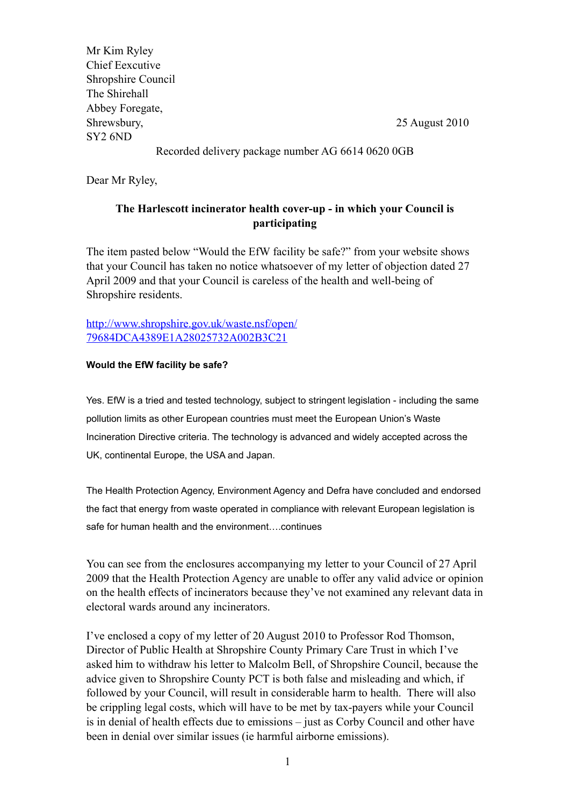| Mr Kim Ryley                                           |                |
|--------------------------------------------------------|----------------|
| <b>Chief Eexcutive</b>                                 |                |
| Shropshire Council                                     |                |
| The Shirehall                                          |                |
| Abbey Foregate,                                        |                |
| Shrewsbury,                                            | 25 August 2010 |
| SY <sub>2</sub> 6ND                                    |                |
| $D$ coorded delivery peakers number $AC$ 6614.0620.000 |                |

Recorded delivery package number AG 6614 0620 0GB

Dear Mr Ryley,

## **The Harlescott incinerator health cover-up - in which your Council is participating**

The item pasted below "Would the EfW facility be safe?" from your website shows that your Council has taken no notice whatsoever of my letter of objection dated 27 April 2009 and that your Council is careless of the health and well-being of Shropshire residents.

[http://www.shropshire.gov.uk/waste.nsf/open/](http://www.shropshire.gov.uk/waste.nsf/open/79684DCA4389E1A28025732A002B3C21) [79684DCA4389E1A28025732A002B3C21](http://www.shropshire.gov.uk/waste.nsf/open/79684DCA4389E1A28025732A002B3C21)

## **Would the EfW facility be safe?**

Yes. EfW is a tried and tested technology, subject to stringent legislation - including the same pollution limits as other European countries must meet the European Union's Waste Incineration Directive criteria. The technology is advanced and widely accepted across the UK, continental Europe, the USA and Japan.

The Health Protection Agency, Environment Agency and Defra have concluded and endorsed the fact that energy from waste operated in compliance with relevant European legislation is safe for human health and the environment….continues

You can see from the enclosures accompanying my letter to your Council of 27 April 2009 that the Health Protection Agency are unable to offer any valid advice or opinion on the health effects of incinerators because they've not examined any relevant data in electoral wards around any incinerators.

I've enclosed a copy of my letter of 20 August 2010 to Professor Rod Thomson, Director of Public Health at Shropshire County Primary Care Trust in which I've asked him to withdraw his letter to Malcolm Bell, of Shropshire Council, because the advice given to Shropshire County PCT is both false and misleading and which, if followed by your Council, will result in considerable harm to health. There will also be crippling legal costs, which will have to be met by tax-payers while your Council is in denial of health effects due to emissions – just as Corby Council and other have been in denial over similar issues (ie harmful airborne emissions).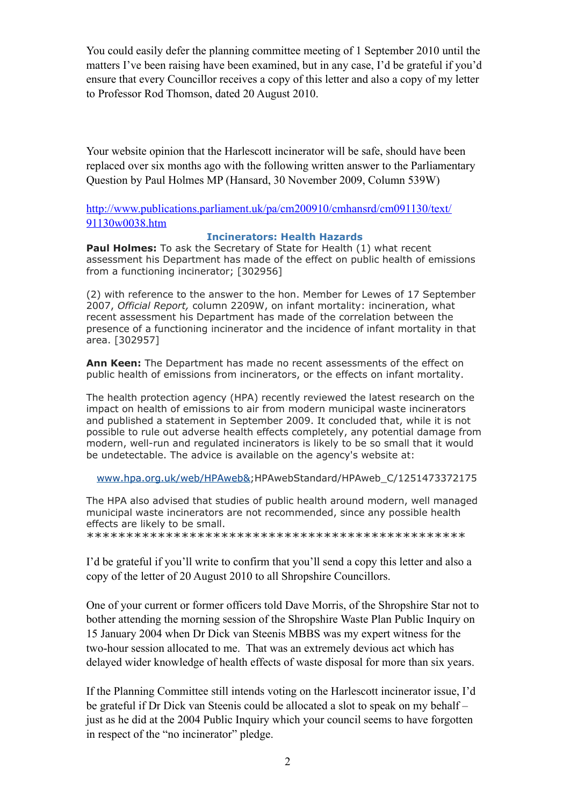You could easily defer the planning committee meeting of 1 September 2010 until the matters I've been raising have been examined, but in any case, I'd be grateful if you'd ensure that every Councillor receives a copy of this letter and also a copy of my letter to Professor Rod Thomson, dated 20 August 2010.

Your website opinion that the Harlescott incinerator will be safe, should have been replaced over six months ago with the following written answer to the Parliamentary Question by Paul Holmes MP (Hansard, 30 November 2009, Column 539W)

[http://www.publications.parliament.uk/pa/cm200910/cmhansrd/cm091130/text/](http://www.publications.parliament.uk/pa/cm200910/cmhansrd/cm091130/text/91130w0038.htm) [91130w0038.htm](http://www.publications.parliament.uk/pa/cm200910/cmhansrd/cm091130/text/91130w0038.htm)

## **Incinerators: Health Hazards**

**Paul Holmes:** To ask the Secretary of State for Health (1) what recent assessment his Department has made of the effect on public health of emissions from a functioning incinerator; [302956]

(2) with reference to the answer to the hon. Member for Lewes of 17 September 2007, *Official Report,* column 2209W, on infant mortality: incineration, what recent assessment his Department has made of the correlation between the presence of a functioning incinerator and the incidence of infant mortality in that area. [302957]

**Ann Keen:** The Department has made no recent assessments of the effect on public health of emissions from incinerators, or the effects on infant mortality.

The health protection agency (HPA) recently reviewed the latest research on the impact on health of emissions to air from modern municipal waste incinerators and published a statement in September 2009. It concluded that, while it is not possible to rule out adverse health effects completely, any potential damage from modern, well-run and regulated incinerators is likely to be so small that it would be undetectable. The advice is available on the agency's website at:

[www.hpa.org.uk/web/HPAweb&](http://www.hpa.org.uk/web/HPAweb&);HPAwebStandard/HPAweb\_C/1251473372175

The HPA also advised that studies of public health around modern, well managed municipal waste incinerators are not recommended, since any possible health effects are likely to be small.

\*\*\*\*\*\*\*\*\*\*\*\*\*\*\*\*\*\*\*\*\*\*\*\*\*\*\*\*\*\*\*\*\*\*\*\*\*\*\*\*\*\*\*\*\*\*\*\*

I'd be grateful if you'll write to confirm that you'll send a copy this letter and also a copy of the letter of 20 August 2010 to all Shropshire Councillors.

One of your current or former officers told Dave Morris, of the Shropshire Star not to bother attending the morning session of the Shropshire Waste Plan Public Inquiry on 15 January 2004 when Dr Dick van Steenis MBBS was my expert witness for the two-hour session allocated to me. That was an extremely devious act which has delayed wider knowledge of health effects of waste disposal for more than six years.

If the Planning Committee still intends voting on the Harlescott incinerator issue, I'd be grateful if Dr Dick van Steenis could be allocated a slot to speak on my behalf – just as he did at the 2004 Public Inquiry which your council seems to have forgotten in respect of the "no incinerator" pledge.